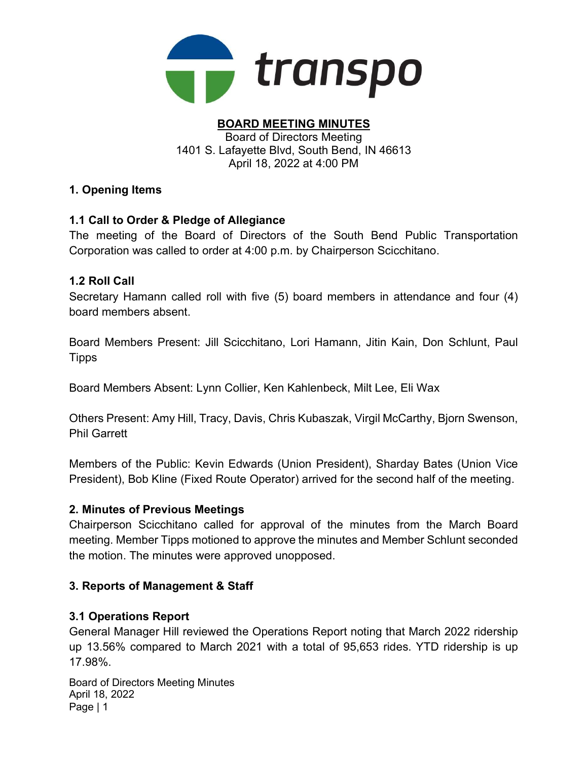

#### BOARD MEETING MINUTES Board of Directors Meeting 1401 S. Lafayette Blvd, South Bend, IN 46613 April 18, 2022 at 4:00 PM

### 1. Opening Items

## 1.1 Call to Order & Pledge of Allegiance

The meeting of the Board of Directors of the South Bend Public Transportation Corporation was called to order at 4:00 p.m. by Chairperson Scicchitano.

### 1.2 Roll Call

Secretary Hamann called roll with five (5) board members in attendance and four (4) board members absent.

Board Members Present: Jill Scicchitano, Lori Hamann, Jitin Kain, Don Schlunt, Paul **Tipps** 

Board Members Absent: Lynn Collier, Ken Kahlenbeck, Milt Lee, Eli Wax

Others Present: Amy Hill, Tracy, Davis, Chris Kubaszak, Virgil McCarthy, Bjorn Swenson, Phil Garrett

Members of the Public: Kevin Edwards (Union President), Sharday Bates (Union Vice President), Bob Kline (Fixed Route Operator) arrived for the second half of the meeting.

### 2. Minutes of Previous Meetings

Chairperson Scicchitano called for approval of the minutes from the March Board meeting. Member Tipps motioned to approve the minutes and Member Schlunt seconded the motion. The minutes were approved unopposed.

### 3. Reports of Management & Staff

### 3.1 Operations Report

General Manager Hill reviewed the Operations Report noting that March 2022 ridership up 13.56% compared to March 2021 with a total of 95,653 rides. YTD ridership is up 17.98%.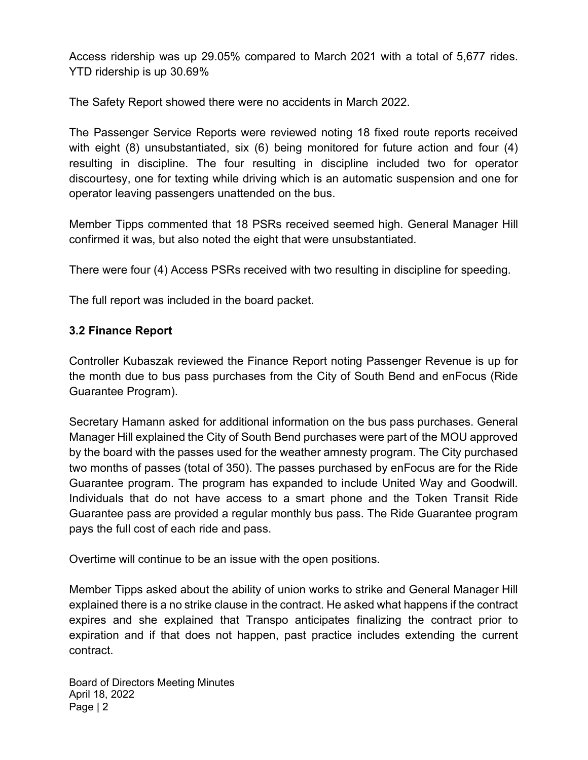Access ridership was up 29.05% compared to March 2021 with a total of 5,677 rides. YTD ridership is up 30.69%

The Safety Report showed there were no accidents in March 2022.

The Passenger Service Reports were reviewed noting 18 fixed route reports received with eight (8) unsubstantiated, six (6) being monitored for future action and four (4) resulting in discipline. The four resulting in discipline included two for operator discourtesy, one for texting while driving which is an automatic suspension and one for operator leaving passengers unattended on the bus.

Member Tipps commented that 18 PSRs received seemed high. General Manager Hill confirmed it was, but also noted the eight that were unsubstantiated.

There were four (4) Access PSRs received with two resulting in discipline for speeding.

The full report was included in the board packet.

## 3.2 Finance Report

Controller Kubaszak reviewed the Finance Report noting Passenger Revenue is up for the month due to bus pass purchases from the City of South Bend and enFocus (Ride Guarantee Program).

Secretary Hamann asked for additional information on the bus pass purchases. General Manager Hill explained the City of South Bend purchases were part of the MOU approved by the board with the passes used for the weather amnesty program. The City purchased two months of passes (total of 350). The passes purchased by enFocus are for the Ride Guarantee program. The program has expanded to include United Way and Goodwill. Individuals that do not have access to a smart phone and the Token Transit Ride Guarantee pass are provided a regular monthly bus pass. The Ride Guarantee program pays the full cost of each ride and pass.

Overtime will continue to be an issue with the open positions.

Member Tipps asked about the ability of union works to strike and General Manager Hill explained there is a no strike clause in the contract. He asked what happens if the contract expires and she explained that Transpo anticipates finalizing the contract prior to expiration and if that does not happen, past practice includes extending the current contract.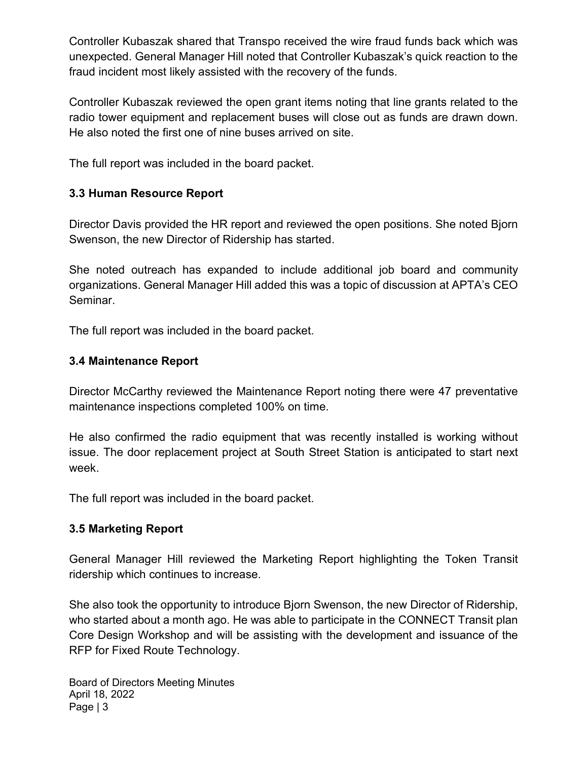Controller Kubaszak shared that Transpo received the wire fraud funds back which was unexpected. General Manager Hill noted that Controller Kubaszak's quick reaction to the fraud incident most likely assisted with the recovery of the funds.

Controller Kubaszak reviewed the open grant items noting that line grants related to the radio tower equipment and replacement buses will close out as funds are drawn down. He also noted the first one of nine buses arrived on site.

The full report was included in the board packet.

# 3.3 Human Resource Report

Director Davis provided the HR report and reviewed the open positions. She noted Bjorn Swenson, the new Director of Ridership has started.

She noted outreach has expanded to include additional job board and community organizations. General Manager Hill added this was a topic of discussion at APTA's CEO Seminar.

The full report was included in the board packet.

### 3.4 Maintenance Report

Director McCarthy reviewed the Maintenance Report noting there were 47 preventative maintenance inspections completed 100% on time.

He also confirmed the radio equipment that was recently installed is working without issue. The door replacement project at South Street Station is anticipated to start next week.

The full report was included in the board packet.

### 3.5 Marketing Report

General Manager Hill reviewed the Marketing Report highlighting the Token Transit ridership which continues to increase.

She also took the opportunity to introduce Bjorn Swenson, the new Director of Ridership, who started about a month ago. He was able to participate in the CONNECT Transit plan Core Design Workshop and will be assisting with the development and issuance of the RFP for Fixed Route Technology.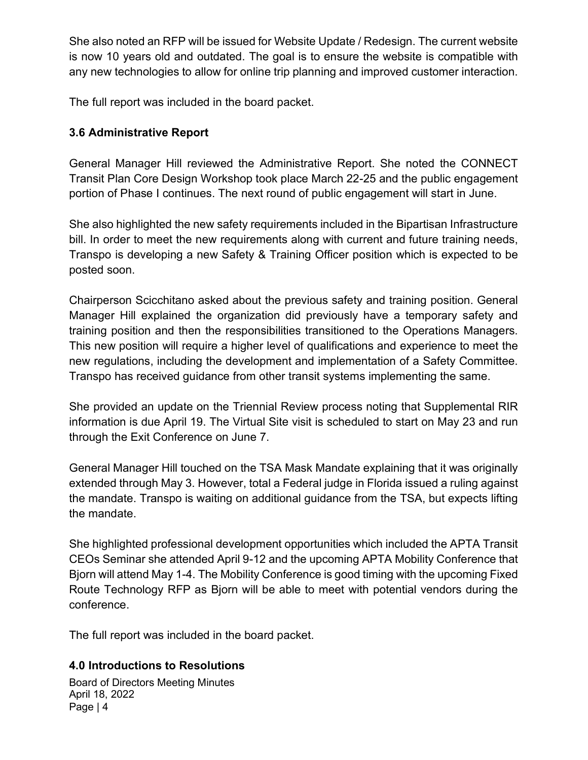She also noted an RFP will be issued for Website Update / Redesign. The current website is now 10 years old and outdated. The goal is to ensure the website is compatible with any new technologies to allow for online trip planning and improved customer interaction.

The full report was included in the board packet.

# 3.6 Administrative Report

General Manager Hill reviewed the Administrative Report. She noted the CONNECT Transit Plan Core Design Workshop took place March 22-25 and the public engagement portion of Phase I continues. The next round of public engagement will start in June.

She also highlighted the new safety requirements included in the Bipartisan Infrastructure bill. In order to meet the new requirements along with current and future training needs, Transpo is developing a new Safety & Training Officer position which is expected to be posted soon.

Chairperson Scicchitano asked about the previous safety and training position. General Manager Hill explained the organization did previously have a temporary safety and training position and then the responsibilities transitioned to the Operations Managers. This new position will require a higher level of qualifications and experience to meet the new regulations, including the development and implementation of a Safety Committee. Transpo has received guidance from other transit systems implementing the same.

She provided an update on the Triennial Review process noting that Supplemental RIR information is due April 19. The Virtual Site visit is scheduled to start on May 23 and run through the Exit Conference on June 7.

General Manager Hill touched on the TSA Mask Mandate explaining that it was originally extended through May 3. However, total a Federal judge in Florida issued a ruling against the mandate. Transpo is waiting on additional guidance from the TSA, but expects lifting the mandate.

She highlighted professional development opportunities which included the APTA Transit CEOs Seminar she attended April 9-12 and the upcoming APTA Mobility Conference that Bjorn will attend May 1-4. The Mobility Conference is good timing with the upcoming Fixed Route Technology RFP as Bjorn will be able to meet with potential vendors during the conference.

The full report was included in the board packet.

# 4.0 Introductions to Resolutions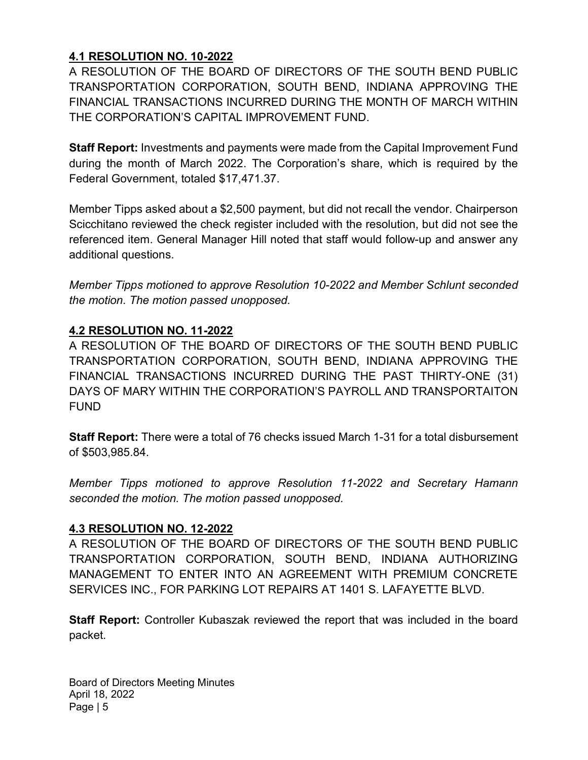# 4.1 RESOLUTION NO. 10-2022

A RESOLUTION OF THE BOARD OF DIRECTORS OF THE SOUTH BEND PUBLIC TRANSPORTATION CORPORATION, SOUTH BEND, INDIANA APPROVING THE FINANCIAL TRANSACTIONS INCURRED DURING THE MONTH OF MARCH WITHIN THE CORPORATION'S CAPITAL IMPROVEMENT FUND.

Staff Report: Investments and payments were made from the Capital Improvement Fund during the month of March 2022. The Corporation's share, which is required by the Federal Government, totaled \$17,471.37.

Member Tipps asked about a \$2,500 payment, but did not recall the vendor. Chairperson Scicchitano reviewed the check register included with the resolution, but did not see the referenced item. General Manager Hill noted that staff would follow-up and answer any additional questions.

Member Tipps motioned to approve Resolution 10-2022 and Member Schlunt seconded the motion. The motion passed unopposed.

## 4.2 RESOLUTION NO. 11-2022

A RESOLUTION OF THE BOARD OF DIRECTORS OF THE SOUTH BEND PUBLIC TRANSPORTATION CORPORATION, SOUTH BEND, INDIANA APPROVING THE FINANCIAL TRANSACTIONS INCURRED DURING THE PAST THIRTY-ONE (31) DAYS OF MARY WITHIN THE CORPORATION'S PAYROLL AND TRANSPORTAITON FUND

Staff Report: There were a total of 76 checks issued March 1-31 for a total disbursement of \$503,985.84.

Member Tipps motioned to approve Resolution 11-2022 and Secretary Hamann seconded the motion. The motion passed unopposed.

### 4.3 RESOLUTION NO. 12-2022

A RESOLUTION OF THE BOARD OF DIRECTORS OF THE SOUTH BEND PUBLIC TRANSPORTATION CORPORATION, SOUTH BEND, INDIANA AUTHORIZING MANAGEMENT TO ENTER INTO AN AGREEMENT WITH PREMIUM CONCRETE SERVICES INC., FOR PARKING LOT REPAIRS AT 1401 S. LAFAYETTE BLVD.

Staff Report: Controller Kubaszak reviewed the report that was included in the board packet.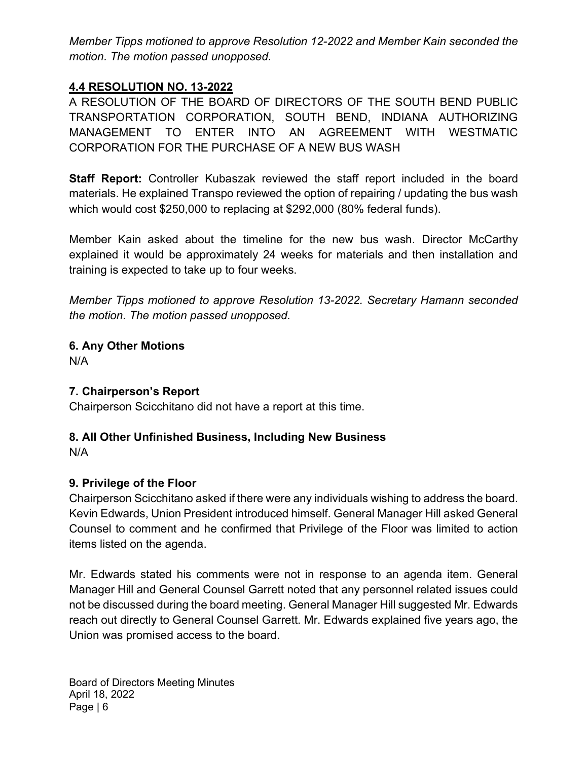Member Tipps motioned to approve Resolution 12-2022 and Member Kain seconded the motion. The motion passed unopposed.

### 4.4 RESOLUTION NO. 13-2022

A RESOLUTION OF THE BOARD OF DIRECTORS OF THE SOUTH BEND PUBLIC TRANSPORTATION CORPORATION, SOUTH BEND, INDIANA AUTHORIZING MANAGEMENT TO ENTER INTO AN AGREEMENT WITH WESTMATIC CORPORATION FOR THE PURCHASE OF A NEW BUS WASH

Staff Report: Controller Kubaszak reviewed the staff report included in the board materials. He explained Transpo reviewed the option of repairing / updating the bus wash which would cost \$250,000 to replacing at \$292,000 (80% federal funds).

Member Kain asked about the timeline for the new bus wash. Director McCarthy explained it would be approximately 24 weeks for materials and then installation and training is expected to take up to four weeks.

Member Tipps motioned to approve Resolution 13-2022. Secretary Hamann seconded the motion. The motion passed unopposed.

6. Any Other Motions N/A

### 7. Chairperson's Report

Chairperson Scicchitano did not have a report at this time.

### 8. All Other Unfinished Business, Including New Business

N/A

### 9. Privilege of the Floor

Chairperson Scicchitano asked if there were any individuals wishing to address the board. Kevin Edwards, Union President introduced himself. General Manager Hill asked General Counsel to comment and he confirmed that Privilege of the Floor was limited to action items listed on the agenda.

Mr. Edwards stated his comments were not in response to an agenda item. General Manager Hill and General Counsel Garrett noted that any personnel related issues could not be discussed during the board meeting. General Manager Hill suggested Mr. Edwards reach out directly to General Counsel Garrett. Mr. Edwards explained five years ago, the Union was promised access to the board.